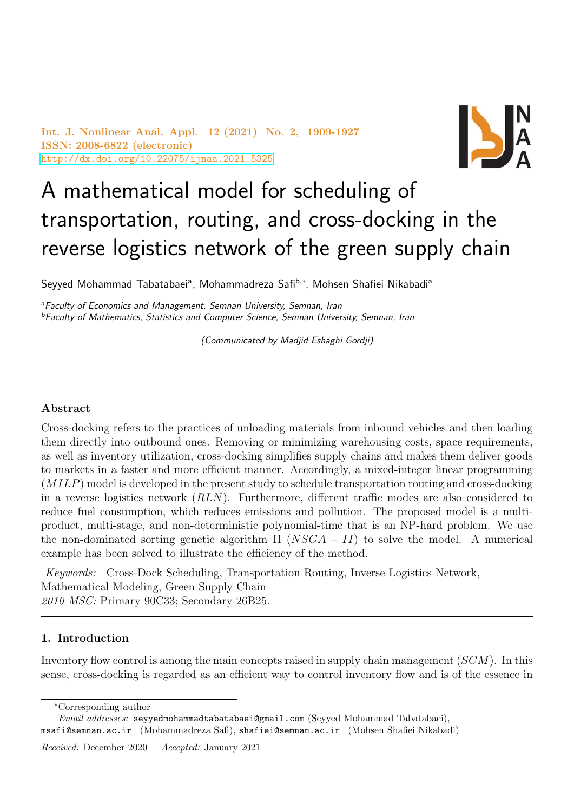Int. J. Nonlinear Anal. Appl. 12 (2021) No. 2, 1909-1927 ISSN: 2008-6822 (electronic) <http://dx.doi.org/10.22075/ijnaa.2021.5325>



# A mathematical model for scheduling of transportation, routing, and cross-docking in the reverse logistics network of the green supply chain

Seyyed Mohammad Tabatabaeiª, Mohammadreza Safi<sup>b,∗</sup>, Mohsen Shafiei Nikabadiª

<sup>a</sup>Faculty of Economics and Management, Semnan University, Semnan, Iran <sup>b</sup>Faculty of Mathematics, Statistics and Computer Science, Semnan University, Semnan, Iran

(Communicated by Madjid Eshaghi Gordji)

## Abstract

Cross-docking refers to the practices of unloading materials from inbound vehicles and then loading them directly into outbound ones. Removing or minimizing warehousing costs, space requirements, as well as inventory utilization, cross-docking simplifies supply chains and makes them deliver goods to markets in a faster and more efficient manner. Accordingly, a mixed-integer linear programming (MILP) model is developed in the present study to schedule transportation routing and cross-docking in a reverse logistics network (RLN). Furthermore, different traffic modes are also considered to reduce fuel consumption, which reduces emissions and pollution. The proposed model is a multiproduct, multi-stage, and non-deterministic polynomial-time that is an NP-hard problem. We use the non-dominated sorting genetic algorithm II ( $NSGA - II$ ) to solve the model. A numerical example has been solved to illustrate the efficiency of the method.

Keywords: Cross-Dock Scheduling, Transportation Routing, Inverse Logistics Network, Mathematical Modeling, Green Supply Chain 2010 MSC: Primary 90C33; Secondary 26B25.

## 1. Introduction

Inventory flow control is among the main concepts raised in supply chain management (SCM). In this sense, cross-docking is regarded as an efficient way to control inventory flow and is of the essence in

<sup>∗</sup>Corresponding author

Email addresses: seyyedmohammadtabatabaei@gmail.com (Seyyed Mohammad Tabatabaei), msafi@semnan.ac.ir (Mohammadreza Safi), shafiei@semnan.ac.ir (Mohsen Shafiei Nikabadi)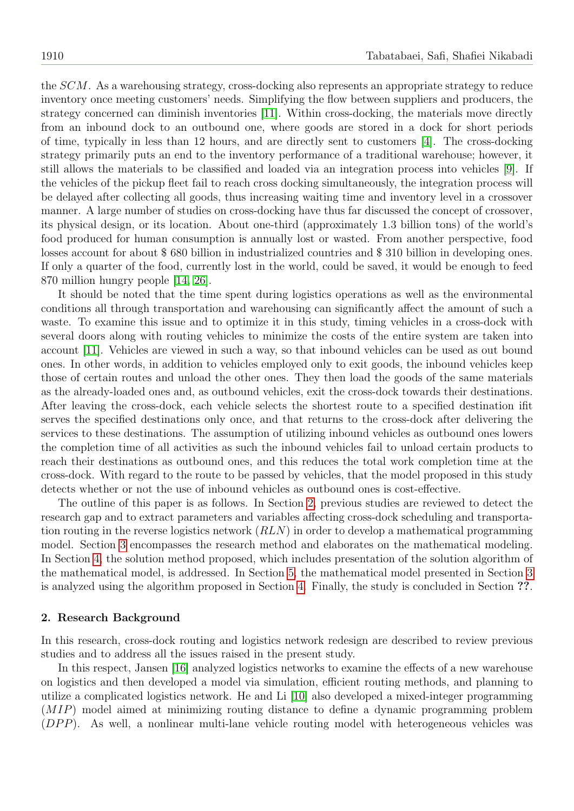the SCM. As a warehousing strategy, cross-docking also represents an appropriate strategy to reduce inventory once meeting customers' needs. Simplifying the flow between suppliers and producers, the strategy concerned can diminish inventories [\[11\]](#page-17-0). Within cross-docking, the materials move directly from an inbound dock to an outbound one, where goods are stored in a dock for short periods of time, typically in less than 12 hours, and are directly sent to customers [\[4\]](#page-17-1). The cross-docking strategy primarily puts an end to the inventory performance of a traditional warehouse; however, it still allows the materials to be classified and loaded via an integration process into vehicles [\[9\]](#page-17-2). If the vehicles of the pickup fleet fail to reach cross docking simultaneously, the integration process will be delayed after collecting all goods, thus increasing waiting time and inventory level in a crossover manner. A large number of studies on cross-docking have thus far discussed the concept of crossover, its physical design, or its location. About one-third (approximately 1.3 billion tons) of the world's food produced for human consumption is annually lost or wasted. From another perspective, food losses account for about \$ 680 billion in industrialized countries and \$ 310 billion in developing ones. If only a quarter of the food, currently lost in the world, could be saved, it would be enough to feed 870 million hungry people [\[14,](#page-17-3) [26\]](#page-18-0).

It should be noted that the time spent during logistics operations as well as the environmental conditions all through transportation and warehousing can significantly affect the amount of such a waste. To examine this issue and to optimize it in this study, timing vehicles in a cross-dock with several doors along with routing vehicles to minimize the costs of the entire system are taken into account [\[11\]](#page-17-0). Vehicles are viewed in such a way, so that inbound vehicles can be used as out bound ones. In other words, in addition to vehicles employed only to exit goods, the inbound vehicles keep those of certain routes and unload the other ones. They then load the goods of the same materials as the already-loaded ones and, as outbound vehicles, exit the cross-dock towards their destinations. After leaving the cross-dock, each vehicle selects the shortest route to a specified destination ifit serves the specified destinations only once, and that returns to the cross-dock after delivering the services to these destinations. The assumption of utilizing inbound vehicles as outbound ones lowers the completion time of all activities as such the inbound vehicles fail to unload certain products to reach their destinations as outbound ones, and this reduces the total work completion time at the cross-dock. With regard to the route to be passed by vehicles, that the model proposed in this study detects whether or not the use of inbound vehicles as outbound ones is cost-effective.

The outline of this paper is as follows. In Section [2,](#page-1-0) previous studies are reviewed to detect the research gap and to extract parameters and variables affecting cross-dock scheduling and transportation routing in the reverse logistics network (RLN) in order to develop a mathematical programming model. Section [3](#page-3-0) encompasses the research method and elaborates on the mathematical modeling. In Section [4,](#page-8-0) the solution method proposed, which includes presentation of the solution algorithm of the mathematical model, is addressed. In Section [5,](#page-13-0) the mathematical model presented in Section [3](#page-3-0) is analyzed using the algorithm proposed in Section [4.](#page-8-0) Finally, the study is concluded in Section ??.

#### <span id="page-1-0"></span>2. Research Background

In this research, cross-dock routing and logistics network redesign are described to review previous studies and to address all the issues raised in the present study.

In this respect, Jansen [\[16\]](#page-17-4) analyzed logistics networks to examine the effects of a new warehouse on logistics and then developed a model via simulation, efficient routing methods, and planning to utilize a complicated logistics network. He and Li [\[10\]](#page-17-5) also developed a mixed-integer programming (MIP) model aimed at minimizing routing distance to define a dynamic programming problem  $(DPP)$ . As well, a nonlinear multi-lane vehicle routing model with heterogeneous vehicles was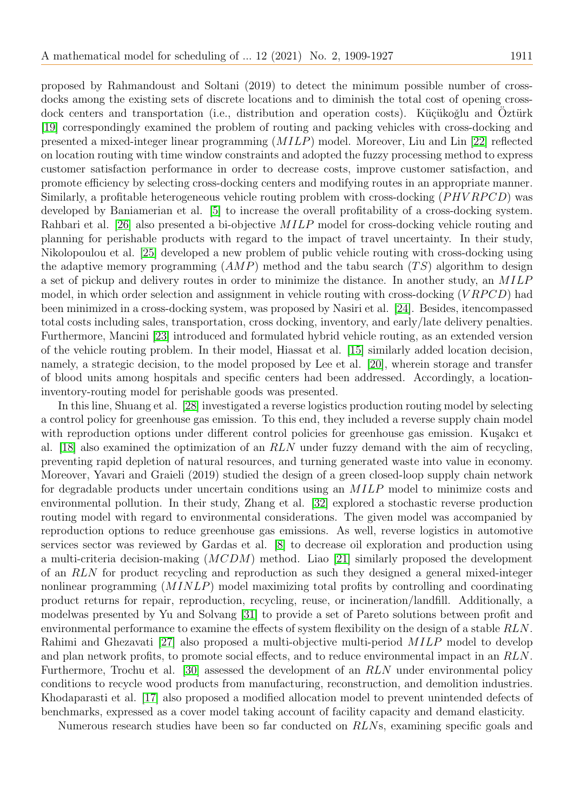proposed by Rahmandoust and Soltani (2019) to detect the minimum possible number of crossdocks among the existing sets of discrete locations and to diminish the total cost of opening crossdock centers and transportation (i.e., distribution and operation costs). Küçükoğlu and Oztürk [\[19\]](#page-17-6) correspondingly examined the problem of routing and packing vehicles with cross-docking and presented a mixed-integer linear programming (MILP) model. Moreover, Liu and Lin [\[22\]](#page-18-1) reflected on location routing with time window constraints and adopted the fuzzy processing method to express customer satisfaction performance in order to decrease costs, improve customer satisfaction, and promote efficiency by selecting cross-docking centers and modifying routes in an appropriate manner. Similarly, a profitable heterogeneous vehicle routing problem with cross-docking  $(PHVRPCD)$  was developed by Baniamerian et al. [\[5\]](#page-17-7) to increase the overall profitability of a cross-docking system. Rahbari et al. [\[26\]](#page-18-0) also presented a bi-objective MILP model for cross-docking vehicle routing and planning for perishable products with regard to the impact of travel uncertainty. In their study, Nikolopoulou et al. [\[25\]](#page-18-2) developed a new problem of public vehicle routing with cross-docking using the adaptive memory programming  $(AMP)$  method and the tabu search  $(TS)$  algorithm to design a set of pickup and delivery routes in order to minimize the distance. In another study, an MILP model, in which order selection and assignment in vehicle routing with cross-docking  $(VRPCD)$  had been minimized in a cross-docking system, was proposed by Nasiri et al. [\[24\]](#page-18-3). Besides, itencompassed total costs including sales, transportation, cross docking, inventory, and early/late delivery penalties. Furthermore, Mancini [\[23\]](#page-18-4) introduced and formulated hybrid vehicle routing, as an extended version of the vehicle routing problem. In their model, Hiassat et al. [\[15\]](#page-17-8) similarly added location decision, namely, a strategic decision, to the model proposed by Lee et al. [\[20\]](#page-18-5), wherein storage and transfer of blood units among hospitals and specific centers had been addressed. Accordingly, a locationinventory-routing model for perishable goods was presented.

In this line, Shuang et al. [\[28\]](#page-18-6) investigated a reverse logistics production routing model by selecting a control policy for greenhouse gas emission. To this end, they included a reverse supply chain model with reproduction options under different control policies for greenhouse gas emission. Kuşakcı et al. [\[18\]](#page-17-9) also examined the optimization of an RLN under fuzzy demand with the aim of recycling, preventing rapid depletion of natural resources, and turning generated waste into value in economy. Moreover, Yavari and Graieli (2019) studied the design of a green closed-loop supply chain network for degradable products under uncertain conditions using an MILP model to minimize costs and environmental pollution. In their study, Zhang et al. [\[32\]](#page-18-7) explored a stochastic reverse production routing model with regard to environmental considerations. The given model was accompanied by reproduction options to reduce greenhouse gas emissions. As well, reverse logistics in automotive services sector was reviewed by Gardas et al. [\[8\]](#page-17-10) to decrease oil exploration and production using a multi-criteria decision-making (MCDM) method. Liao [\[21\]](#page-18-8) similarly proposed the development of an RLN for product recycling and reproduction as such they designed a general mixed-integer nonlinear programming (MINLP) model maximizing total profits by controlling and coordinating product returns for repair, reproduction, recycling, reuse, or incineration/landfill. Additionally, a modelwas presented by Yu and Solvang [\[31\]](#page-18-9) to provide a set of Pareto solutions between profit and environmental performance to examine the effects of system flexibility on the design of a stable RLN. Rahimi and Ghezavati [\[27\]](#page-18-10) also proposed a multi-objective multi-period MILP model to develop and plan network profits, to promote social effects, and to reduce environmental impact in an RLN. Furthermore, Trochu et al. [\[30\]](#page-18-11) assessed the development of an RLN under environmental policy conditions to recycle wood products from manufacturing, reconstruction, and demolition industries. Khodaparasti et al. [\[17\]](#page-17-11) also proposed a modified allocation model to prevent unintended defects of benchmarks, expressed as a cover model taking account of facility capacity and demand elasticity.

Numerous research studies have been so far conducted on RLNs, examining specific goals and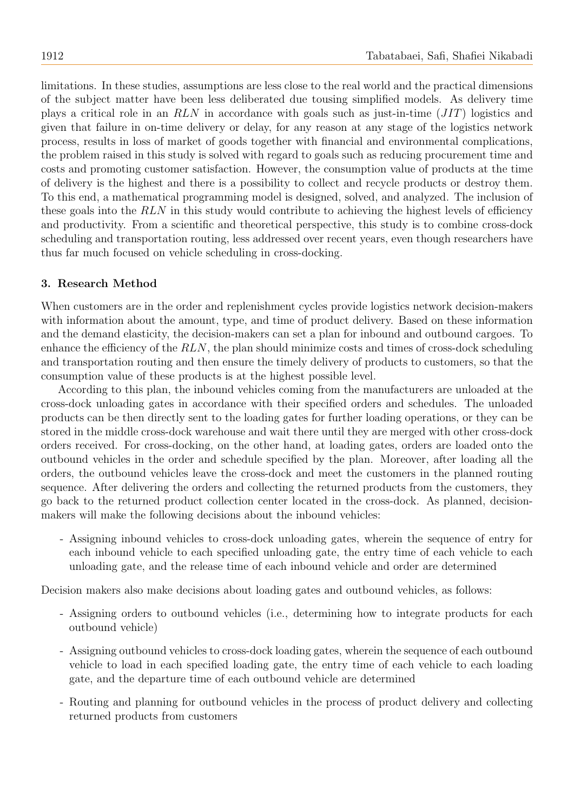limitations. In these studies, assumptions are less close to the real world and the practical dimensions of the subject matter have been less deliberated due tousing simplified models. As delivery time plays a critical role in an RLN in accordance with goals such as just-in-time (JIT) logistics and given that failure in on-time delivery or delay, for any reason at any stage of the logistics network process, results in loss of market of goods together with financial and environmental complications, the problem raised in this study is solved with regard to goals such as reducing procurement time and costs and promoting customer satisfaction. However, the consumption value of products at the time of delivery is the highest and there is a possibility to collect and recycle products or destroy them. To this end, a mathematical programming model is designed, solved, and analyzed. The inclusion of these goals into the RLN in this study would contribute to achieving the highest levels of efficiency and productivity. From a scientific and theoretical perspective, this study is to combine cross-dock scheduling and transportation routing, less addressed over recent years, even though researchers have thus far much focused on vehicle scheduling in cross-docking.

#### <span id="page-3-0"></span>3. Research Method

When customers are in the order and replenishment cycles provide logistics network decision-makers with information about the amount, type, and time of product delivery. Based on these information and the demand elasticity, the decision-makers can set a plan for inbound and outbound cargoes. To enhance the efficiency of the  $RLN$ , the plan should minimize costs and times of cross-dock scheduling and transportation routing and then ensure the timely delivery of products to customers, so that the consumption value of these products is at the highest possible level.

According to this plan, the inbound vehicles coming from the manufacturers are unloaded at the cross-dock unloading gates in accordance with their specified orders and schedules. The unloaded products can be then directly sent to the loading gates for further loading operations, or they can be stored in the middle cross-dock warehouse and wait there until they are merged with other cross-dock orders received. For cross-docking, on the other hand, at loading gates, orders are loaded onto the outbound vehicles in the order and schedule specified by the plan. Moreover, after loading all the orders, the outbound vehicles leave the cross-dock and meet the customers in the planned routing sequence. After delivering the orders and collecting the returned products from the customers, they go back to the returned product collection center located in the cross-dock. As planned, decisionmakers will make the following decisions about the inbound vehicles:

- Assigning inbound vehicles to cross-dock unloading gates, wherein the sequence of entry for each inbound vehicle to each specified unloading gate, the entry time of each vehicle to each unloading gate, and the release time of each inbound vehicle and order are determined

Decision makers also make decisions about loading gates and outbound vehicles, as follows:

- Assigning orders to outbound vehicles (i.e., determining how to integrate products for each outbound vehicle)
- Assigning outbound vehicles to cross-dock loading gates, wherein the sequence of each outbound vehicle to load in each specified loading gate, the entry time of each vehicle to each loading gate, and the departure time of each outbound vehicle are determined
- Routing and planning for outbound vehicles in the process of product delivery and collecting returned products from customers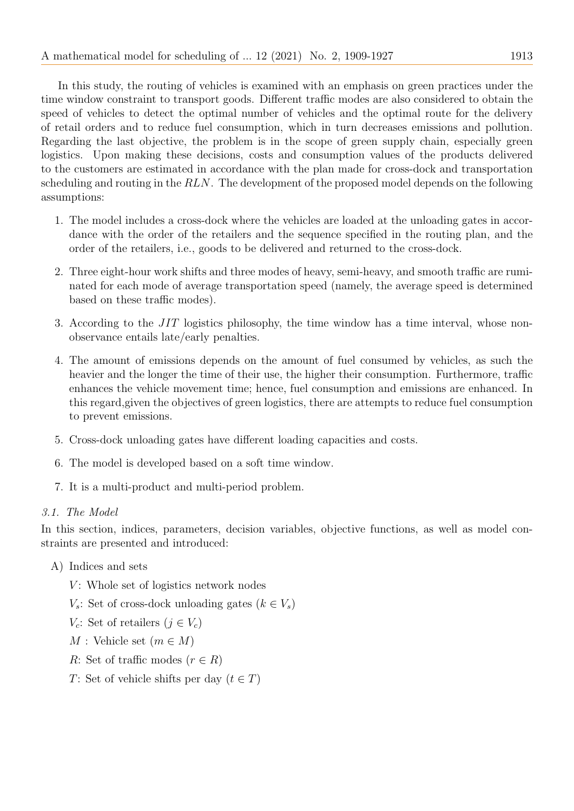In this study, the routing of vehicles is examined with an emphasis on green practices under the time window constraint to transport goods. Different traffic modes are also considered to obtain the speed of vehicles to detect the optimal number of vehicles and the optimal route for the delivery of retail orders and to reduce fuel consumption, which in turn decreases emissions and pollution. Regarding the last objective, the problem is in the scope of green supply chain, especially green logistics. Upon making these decisions, costs and consumption values of the products delivered to the customers are estimated in accordance with the plan made for cross-dock and transportation scheduling and routing in the RLN. The development of the proposed model depends on the following assumptions:

- 1. The model includes a cross-dock where the vehicles are loaded at the unloading gates in accordance with the order of the retailers and the sequence specified in the routing plan, and the order of the retailers, i.e., goods to be delivered and returned to the cross-dock.
- 2. Three eight-hour work shifts and three modes of heavy, semi-heavy, and smooth traffic are ruminated for each mode of average transportation speed (namely, the average speed is determined based on these traffic modes).
- 3. According to the  $JIT$  logistics philosophy, the time window has a time interval, whose nonobservance entails late/early penalties.
- 4. The amount of emissions depends on the amount of fuel consumed by vehicles, as such the heavier and the longer the time of their use, the higher their consumption. Furthermore, traffic enhances the vehicle movement time; hence, fuel consumption and emissions are enhanced. In this regard,given the objectives of green logistics, there are attempts to reduce fuel consumption to prevent emissions.
- 5. Cross-dock unloading gates have different loading capacities and costs.
- 6. The model is developed based on a soft time window.
- 7. It is a multi-product and multi-period problem.

## 3.1. The Model

In this section, indices, parameters, decision variables, objective functions, as well as model constraints are presented and introduced:

- A) Indices and sets
	- $V$ : Whole set of logistics network nodes
	- $V_s$ : Set of cross-dock unloading gates ( $k \in V_s$ )
	- $V_c$ : Set of retailers  $(j \in V_c)$
	- $M$ : Vehicle set  $(m \in M)$
	- R: Set of traffic modes  $(r \in R)$
	- T: Set of vehicle shifts per day  $(t \in T)$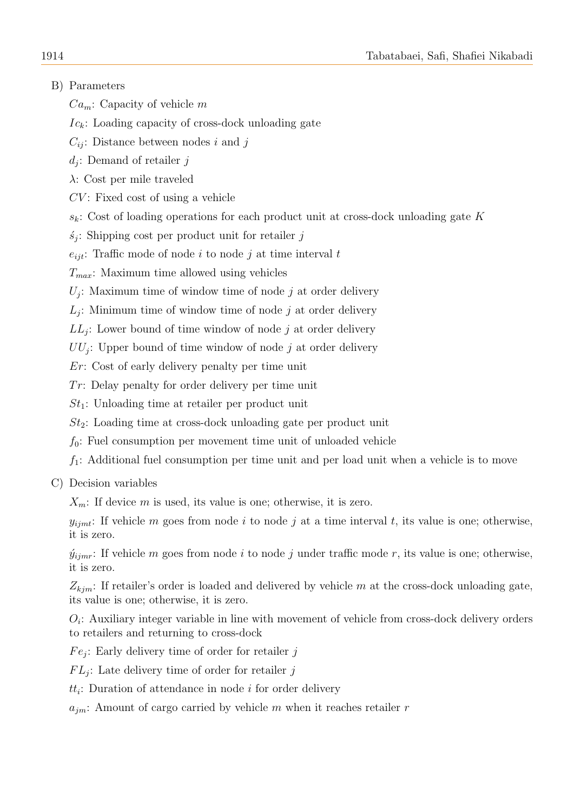# B) Parameters

 $Ca_m$ : Capacity of vehicle m

 $I_{c_k}$ : Loading capacity of cross-dock unloading gate

 $C_{ii}$ : Distance between nodes i and j

 $d_j$ : Demand of retailer j

λ: Cost per mile traveled

 $CV:$  Fixed cost of using a vehicle

 $s_k$ : Cost of loading operations for each product unit at cross-dock unloading gate K

 $s_j$ : Shipping cost per product unit for retailer j

 $e_{ijt}$ : Traffic mode of node i to node j at time interval t

 $T_{max}$ : Maximum time allowed using vehicles

 $U_j$ : Maximum time of window time of node j at order delivery

 $L_j$ : Minimum time of window time of node j at order delivery

 $LL_j$ : Lower bound of time window of node j at order delivery

 $UU_j$ : Upper bound of time window of node j at order delivery

Er: Cost of early delivery penalty per time unit

 $Tr:$  Delay penalty for order delivery per time unit

 $St_1$ : Unloading time at retailer per product unit

 $St_2$ : Loading time at cross-dock unloading gate per product unit

 $f_0$ : Fuel consumption per movement time unit of unloaded vehicle

 $f_1$ : Additional fuel consumption per time unit and per load unit when a vehicle is to move

C) Decision variables

 $X_m$ : If device m is used, its value is one; otherwise, it is zero.

 $y_{ijmt}$ : If vehicle m goes from node i to node j at a time interval t, its value is one; otherwise, it is zero.

 $\hat{y}_{iimr}$ : If vehicle m goes from node i to node j under traffic mode r, its value is one; otherwise, it is zero.

 $Z_{kim}$ : If retailer's order is loaded and delivered by vehicle m at the cross-dock unloading gate, its value is one; otherwise, it is zero.

 $O_i$ : Auxiliary integer variable in line with movement of vehicle from cross-dock delivery orders to retailers and returning to cross-dock

 $Fe_j$ : Early delivery time of order for retailer j

 $FL_j$ : Late delivery time of order for retailer j

 $tt_i$ : Duration of attendance in node *i* for order delivery

 $a_{im}$ : Amount of cargo carried by vehicle m when it reaches retailer r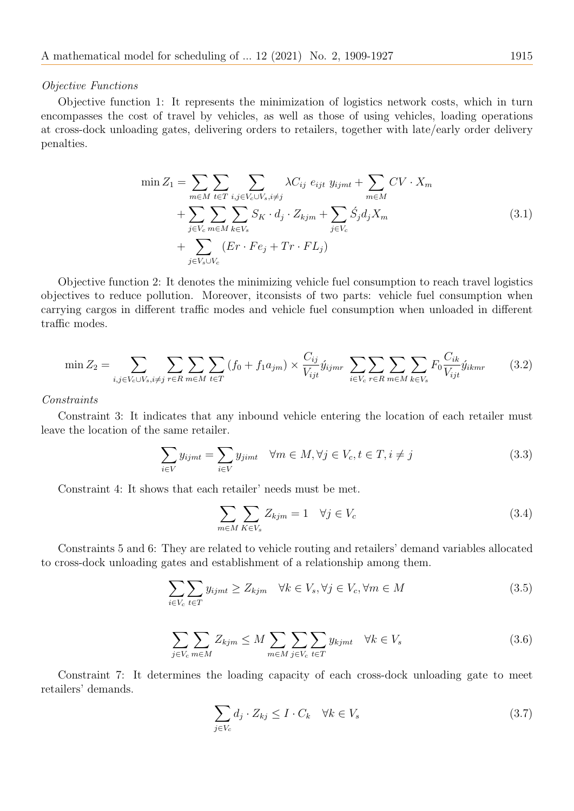#### Objective Functions

Objective function 1: It represents the minimization of logistics network costs, which in turn encompasses the cost of travel by vehicles, as well as those of using vehicles, loading operations at cross-dock unloading gates, delivering orders to retailers, together with late/early order delivery penalties.

$$
\min Z_1 = \sum_{m \in M} \sum_{t \in T} \sum_{i,j \in V_c \cup V_s, i \neq j} \lambda C_{ij} e_{ijt} y_{ijmt} + \sum_{m \in M} CV \cdot X_m
$$
  
+ 
$$
\sum_{j \in V_c} \sum_{m \in M} \sum_{k \in V_s} S_K \cdot d_j \cdot Z_{kjm} + \sum_{j \in V_c} \acute{S}_j d_j X_m
$$
  
+ 
$$
\sum_{j \in V_s \cup V_c} (Er \cdot Fe_j + Tr \cdot FL_j)
$$
 (3.1)

Objective function 2: It denotes the minimizing vehicle fuel consumption to reach travel logistics objectives to reduce pollution. Moreover, itconsists of two parts: vehicle fuel consumption when carrying cargos in different traffic modes and vehicle fuel consumption when unloaded in different traffic modes.

$$
\min Z_2 = \sum_{i,j \in V_c \cup V_s, i \neq j} \sum_{r \in R} \sum_{m \in M} \sum_{t \in T} (f_0 + f_1 a_{jm}) \times \frac{C_{ij}}{V_{ijt}} \hat{y}_{ijmr} \sum_{i \in V_c} \sum_{r \in R} \sum_{m \in M} \sum_{k \in V_s} F_0 \frac{C_{ik}}{V_{ijt}} \hat{y}_{ikmr}
$$
(3.2)

#### Constraints

Constraint 3: It indicates that any inbound vehicle entering the location of each retailer must leave the location of the same retailer.

$$
\sum_{i \in V} y_{ijmt} = \sum_{i \in V} y_{jimt} \quad \forall m \in M, \forall j \in V_c, t \in T, i \neq j \tag{3.3}
$$

Constraint 4: It shows that each retailer' needs must be met.

$$
\sum_{m \in M} \sum_{K \in V_s} Z_{kjm} = 1 \quad \forall j \in V_c \tag{3.4}
$$

Constraints 5 and 6: They are related to vehicle routing and retailers' demand variables allocated to cross-dock unloading gates and establishment of a relationship among them.

$$
\sum_{i \in V_c} \sum_{t \in T} y_{ijmt} \ge Z_{kjm} \quad \forall k \in V_s, \forall j \in V_c, \forall m \in M
$$
\n(3.5)

$$
\sum_{j \in V_c} \sum_{m \in M} Z_{kjm} \le M \sum_{m \in M} \sum_{j \in V_c} \sum_{t \in T} y_{kjmt} \quad \forall k \in V_s
$$
\n(3.6)

Constraint 7: It determines the loading capacity of each cross-dock unloading gate to meet retailers' demands.

$$
\sum_{j \in V_c} d_j \cdot Z_{kj} \le I \cdot C_k \quad \forall k \in V_s \tag{3.7}
$$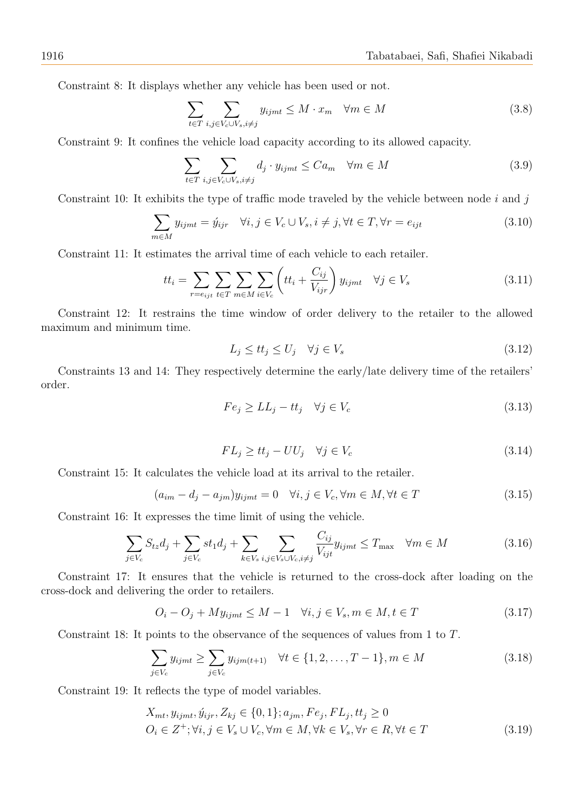Constraint 8: It displays whether any vehicle has been used or not.

$$
\sum_{t \in T} \sum_{i,j \in V_c \cup V_s, i \neq j} y_{ijmt} \le M \cdot x_m \quad \forall m \in M \tag{3.8}
$$

Constraint 9: It confines the vehicle load capacity according to its allowed capacity.

$$
\sum_{t \in T} \sum_{i,j \in V_c \cup V_s, i \neq j} d_j \cdot y_{ijmt} \leq Ca_m \quad \forall m \in M \tag{3.9}
$$

Constraint 10: It exhibits the type of traffic mode traveled by the vehicle between node  $i$  and  $j$ 

$$
\sum_{m \in M} y_{ijmt} = \acute{y}_{ijr} \quad \forall i, j \in V_c \cup V_s, i \neq j, \forall t \in T, \forall r = e_{ijt}
$$
\n(3.10)

Constraint 11: It estimates the arrival time of each vehicle to each retailer.

$$
tt_i = \sum_{r = e_{ijt}} \sum_{t \in T} \sum_{m \in M} \sum_{i \in V_c} \left( tt_i + \frac{C_{ij}}{V_{ijr}} \right) y_{ijmt} \quad \forall j \in V_s
$$
\n(3.11)

Constraint 12: It restrains the time window of order delivery to the retailer to the allowed maximum and minimum time.

$$
L_j \leq tt_j \leq U_j \quad \forall j \in V_s \tag{3.12}
$$

Constraints 13 and 14: They respectively determine the early/late delivery time of the retailers' order.

$$
Fe_j \ge LL_j - tt_j \quad \forall j \in V_c \tag{3.13}
$$

$$
FL_j \ge tt_j - UU_j \quad \forall j \in V_c \tag{3.14}
$$

Constraint 15: It calculates the vehicle load at its arrival to the retailer.

$$
(a_{im} - d_j - a_{jm})y_{ijmt} = 0 \quad \forall i, j \in V_c, \forall m \in M, \forall t \in T
$$
\n
$$
(3.15)
$$

Constraint 16: It expresses the time limit of using the vehicle.

$$
\sum_{j \in V_c} S_{tz} d_j + \sum_{j \in V_c} st_1 d_j + \sum_{k \in V_s} \sum_{i,j \in V_s \cup V_c, i \neq j} \frac{C_{ij}}{V_{ijt}} y_{ijmt} \le T_{\text{max}} \quad \forall m \in M \tag{3.16}
$$

Constraint 17: It ensures that the vehicle is returned to the cross-dock after loading on the cross-dock and delivering the order to retailers.

$$
O_i - O_j + My_{ijmt} \le M - 1 \quad \forall i, j \in V_s, m \in M, t \in T \tag{3.17}
$$

Constraint 18: It points to the observance of the sequences of values from 1 to T.

$$
\sum_{j \in V_c} y_{ijmt} \ge \sum_{j \in V_c} y_{ijm(t+1)} \quad \forall t \in \{1, 2, \dots, T-1\}, m \in M
$$
\n(3.18)

Constraint 19: It reflects the type of model variables.

$$
X_{mt}, y_{ijmt}, \hat{y}_{ijr}, Z_{kj} \in \{0, 1\}; a_{jm}, Fe_j, FL_j, tt_j \ge 0
$$
  

$$
O_i \in Z^+; \forall i, j \in V_s \cup V_c, \forall m \in M, \forall k \in V_s, \forall r \in R, \forall t \in T
$$
 (3.19)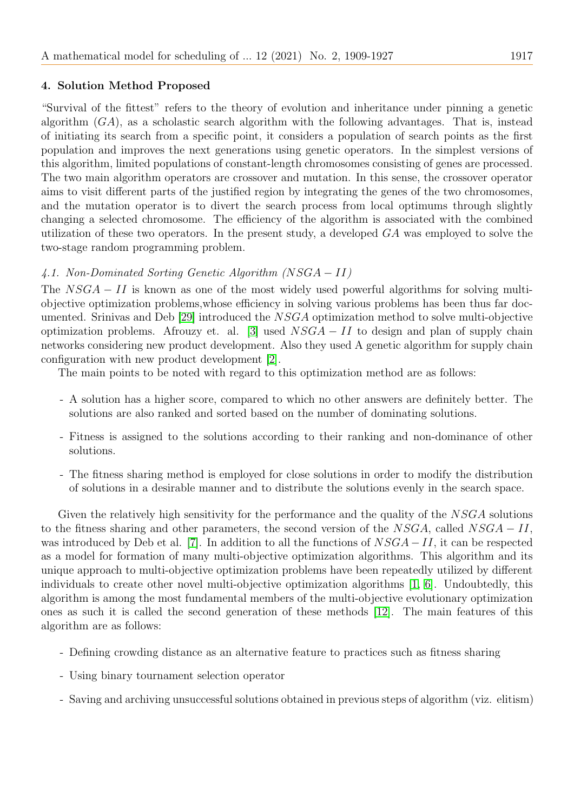## <span id="page-8-0"></span>4. Solution Method Proposed

"Survival of the fittest" refers to the theory of evolution and inheritance under pinning a genetic algorithm  $(GA)$ , as a scholastic search algorithm with the following advantages. That is, instead of initiating its search from a specific point, it considers a population of search points as the first population and improves the next generations using genetic operators. In the simplest versions of this algorithm, limited populations of constant-length chromosomes consisting of genes are processed. The two main algorithm operators are crossover and mutation. In this sense, the crossover operator aims to visit different parts of the justified region by integrating the genes of the two chromosomes, and the mutation operator is to divert the search process from local optimums through slightly changing a selected chromosome. The efficiency of the algorithm is associated with the combined utilization of these two operators. In the present study, a developed GA was employed to solve the two-stage random programming problem.

## 4.1. Non-Dominated Sorting Genetic Algorithm (NSGA − II)

The  $NSGA - II$  is known as one of the most widely used powerful algorithms for solving multiobjective optimization problems,whose efficiency in solving various problems has been thus far documented. Srinivas and Deb [\[29\]](#page-18-12) introduced the NSGA optimization method to solve multi-objective optimization problems. Afrouzy et. al. [\[3\]](#page-17-12) used  $NSGA - II$  to design and plan of supply chain networks considering new product development. Also they used A genetic algorithm for supply chain configuration with new product development [\[2\]](#page-17-13).

The main points to be noted with regard to this optimization method are as follows:

- A solution has a higher score, compared to which no other answers are definitely better. The solutions are also ranked and sorted based on the number of dominating solutions.
- Fitness is assigned to the solutions according to their ranking and non-dominance of other solutions.
- The fitness sharing method is employed for close solutions in order to modify the distribution of solutions in a desirable manner and to distribute the solutions evenly in the search space.

Given the relatively high sensitivity for the performance and the quality of the NSGA solutions to the fitness sharing and other parameters, the second version of the  $NSGA$ , called  $NSGA - II$ , was introduced by Deb et al. [\[7\]](#page-17-14). In addition to all the functions of  $NSGA - II$ , it can be respected as a model for formation of many multi-objective optimization algorithms. This algorithm and its unique approach to multi-objective optimization problems have been repeatedly utilized by different individuals to create other novel multi-objective optimization algorithms [\[1,](#page-17-15) [6\]](#page-17-16). Undoubtedly, this algorithm is among the most fundamental members of the multi-objective evolutionary optimization ones as such it is called the second generation of these methods [\[12\]](#page-17-17). The main features of this algorithm are as follows:

- Defining crowding distance as an alternative feature to practices such as fitness sharing
- Using binary tournament selection operator
- Saving and archiving unsuccessful solutions obtained in previous steps of algorithm (viz. elitism)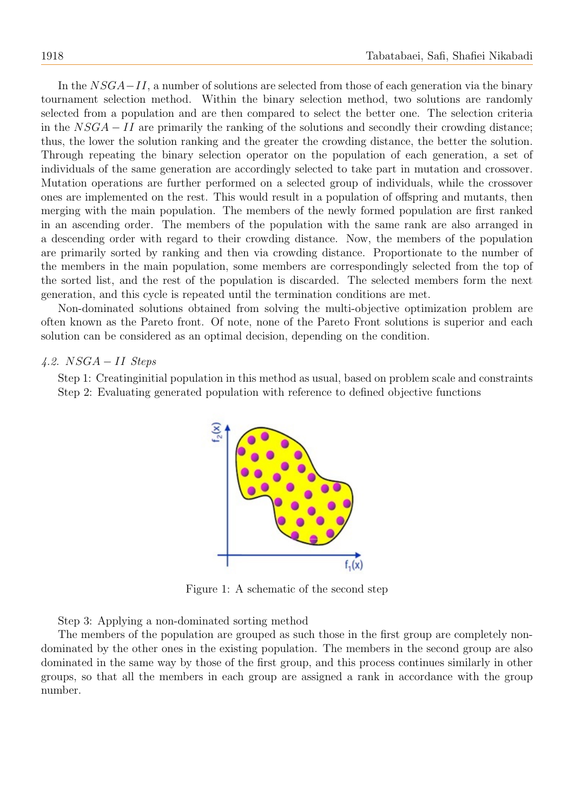In the  $NSGA-II$ , a number of solutions are selected from those of each generation via the binary tournament selection method. Within the binary selection method, two solutions are randomly selected from a population and are then compared to select the better one. The selection criteria in the  $NSGA - II$  are primarily the ranking of the solutions and secondly their crowding distance; thus, the lower the solution ranking and the greater the crowding distance, the better the solution. Through repeating the binary selection operator on the population of each generation, a set of individuals of the same generation are accordingly selected to take part in mutation and crossover. Mutation operations are further performed on a selected group of individuals, while the crossover ones are implemented on the rest. This would result in a population of offspring and mutants, then merging with the main population. The members of the newly formed population are first ranked in an ascending order. The members of the population with the same rank are also arranged in a descending order with regard to their crowding distance. Now, the members of the population are primarily sorted by ranking and then via crowding distance. Proportionate to the number of the members in the main population, some members are correspondingly selected from the top of the sorted list, and the rest of the population is discarded. The selected members form the next generation, and this cycle is repeated until the termination conditions are met.

Non-dominated solutions obtained from solving the multi-objective optimization problem are often known as the Pareto front. Of note, none of the Pareto Front solutions is superior and each solution can be considered as an optimal decision, depending on the condition.

#### $4.2. NSGA - II$  Steps

Step 1: Creatinginitial population in this method as usual, based on problem scale and constraints Step 2: Evaluating generated population with reference to defined objective functions



Figure 1: A schematic of the second step

Step 3: Applying a non-dominated sorting method

The members of the population are grouped as such those in the first group are completely nondominated by the other ones in the existing population. The members in the second group are also dominated in the same way by those of the first group, and this process continues similarly in other groups, so that all the members in each group are assigned a rank in accordance with the group number.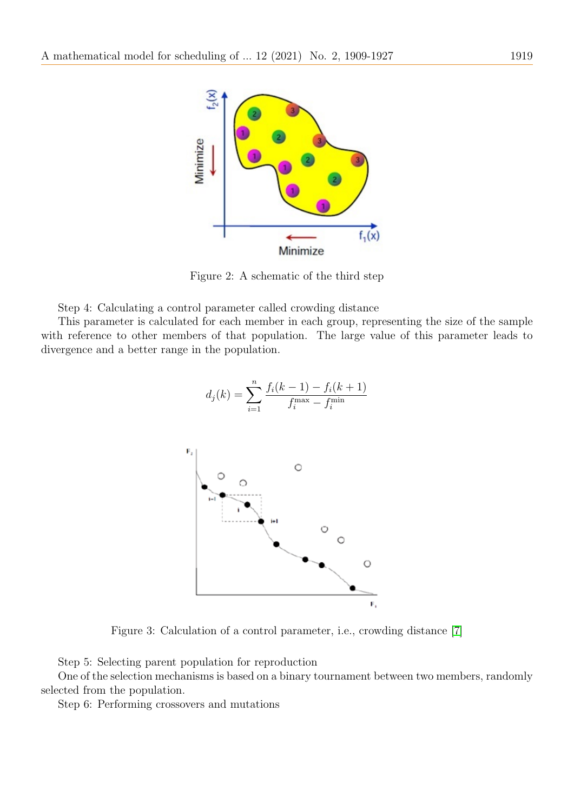

Figure 2: A schematic of the third step

Step 4: Calculating a control parameter called crowding distance

This parameter is calculated for each member in each group, representing the size of the sample with reference to other members of that population. The large value of this parameter leads to divergence and a better range in the population.

$$
d_j(k) = \sum_{i=1}^{n} \frac{f_i(k-1) - f_i(k+1)}{f_i^{\max} - f_i^{\min}}
$$



Figure 3: Calculation of a control parameter, i.e., crowding distance [\[7\]](#page-17-14)

Step 5: Selecting parent population for reproduction

One of the selection mechanisms is based on a binary tournament between two members, randomly selected from the population.

Step 6: Performing crossovers and mutations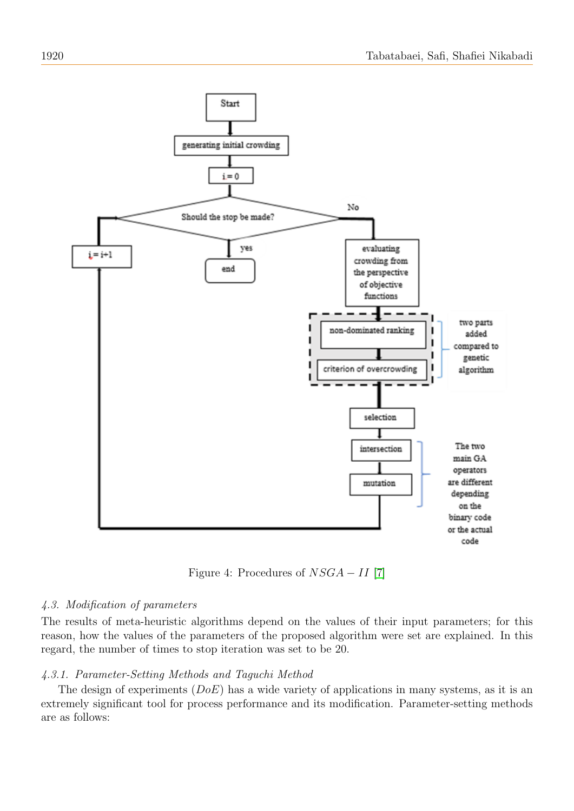

Figure 4: Procedures of  $NSGA - II$  [\[7\]](#page-17-14)

### 4.3. Modification of parameters

The results of meta-heuristic algorithms depend on the values of their input parameters; for this reason, how the values of the parameters of the proposed algorithm were set are explained. In this regard, the number of times to stop iteration was set to be 20.

### 4.3.1. Parameter-Setting Methods and Taguchi Method

The design of experiments  $(DoE)$  has a wide variety of applications in many systems, as it is an extremely significant tool for process performance and its modification. Parameter-setting methods are as follows: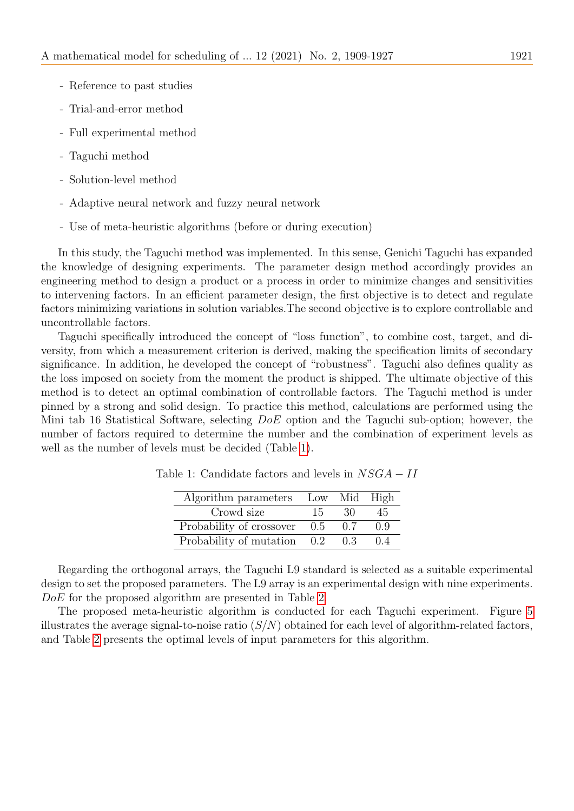- Reference to past studies
- Trial-and-error method
- Full experimental method
- Taguchi method
- Solution-level method
- Adaptive neural network and fuzzy neural network
- Use of meta-heuristic algorithms (before or during execution)

In this study, the Taguchi method was implemented. In this sense, Genichi Taguchi has expanded the knowledge of designing experiments. The parameter design method accordingly provides an engineering method to design a product or a process in order to minimize changes and sensitivities to intervening factors. In an efficient parameter design, the first objective is to detect and regulate factors minimizing variations in solution variables.The second objective is to explore controllable and uncontrollable factors.

Taguchi specifically introduced the concept of "loss function", to combine cost, target, and diversity, from which a measurement criterion is derived, making the specification limits of secondary significance. In addition, he developed the concept of "robustness". Taguchi also defines quality as the loss imposed on society from the moment the product is shipped. The ultimate objective of this method is to detect an optimal combination of controllable factors. The Taguchi method is under pinned by a strong and solid design. To practice this method, calculations are performed using the Mini tab 16 Statistical Software, selecting DoE option and the Taguchi sub-option; however, the number of factors required to determine the number and the combination of experiment levels as well as the number of levels must be decided (Table [1\)](#page-12-0).

| Algorithm parameters        |     | Low Mid High |     |
|-----------------------------|-----|--------------|-----|
| Crowd size                  | 15  | -30          | 45  |
| Probability of crossover    | 0.5 | 0.7          | ΩQ  |
| Probability of mutation 0.2 |     | 0.3          | 0.4 |

Table 1: Candidate factors and levels in  $NSGA - II$ 

<span id="page-12-0"></span>Regarding the orthogonal arrays, the Taguchi L9 standard is selected as a suitable experimental design to set the proposed parameters. The L9 array is an experimental design with nine experiments. DoE for the proposed algorithm are presented in Table [2.](#page-13-1)

The proposed meta-heuristic algorithm is conducted for each Taguchi experiment. Figure [5](#page-13-2) illustrates the average signal-to-noise ratio  $(S/N)$  obtained for each level of algorithm-related factors, and Table [2](#page-13-1) presents the optimal levels of input parameters for this algorithm.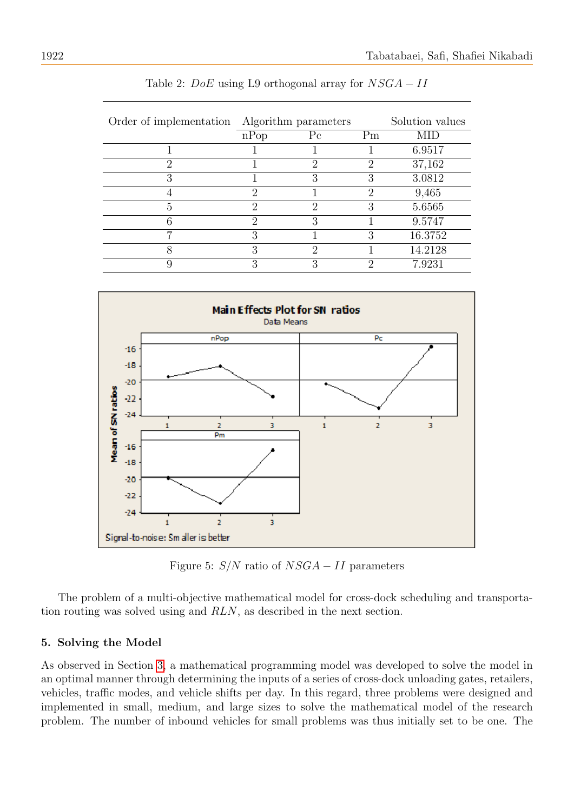<span id="page-13-1"></span>

| Order of implementation |              | Algorithm parameters |    | Solution values |  |
|-------------------------|--------------|----------------------|----|-----------------|--|
|                         | nPop         | $P_{c}$              | Pm | MID             |  |
|                         |              |                      |    | 6.9517          |  |
| റ                       |              | റ                    | 2  | 37,162          |  |
| 3                       |              | 3                    | 3  | 3.0812          |  |
|                         | റ            |                      | 2  | 9,465           |  |
| 5                       | റ            | $\Omega$             | 3  | 5.6565          |  |
| հ                       | റ            | 3                    |    | 9.5747          |  |
|                         | 3            |                      | 3  | 16.3752         |  |
| 8                       | 3            | റ                    |    | 14.2128         |  |
|                         | $\mathbf{Q}$ | 2                    | റ  | 7.9231          |  |

Table 2:  $DoE$  using L9 orthogonal array for  $NSGA - II$ 

<span id="page-13-2"></span>

Figure 5:  $S/N$  ratio of  $NSGA - II$  parameters

The problem of a multi-objective mathematical model for cross-dock scheduling and transportation routing was solved using and RLN, as described in the next section.

## <span id="page-13-0"></span>5. Solving the Model

As observed in Section [3,](#page-3-0) a mathematical programming model was developed to solve the model in an optimal manner through determining the inputs of a series of cross-dock unloading gates, retailers, vehicles, traffic modes, and vehicle shifts per day. In this regard, three problems were designed and implemented in small, medium, and large sizes to solve the mathematical model of the research problem. The number of inbound vehicles for small problems was thus initially set to be one. The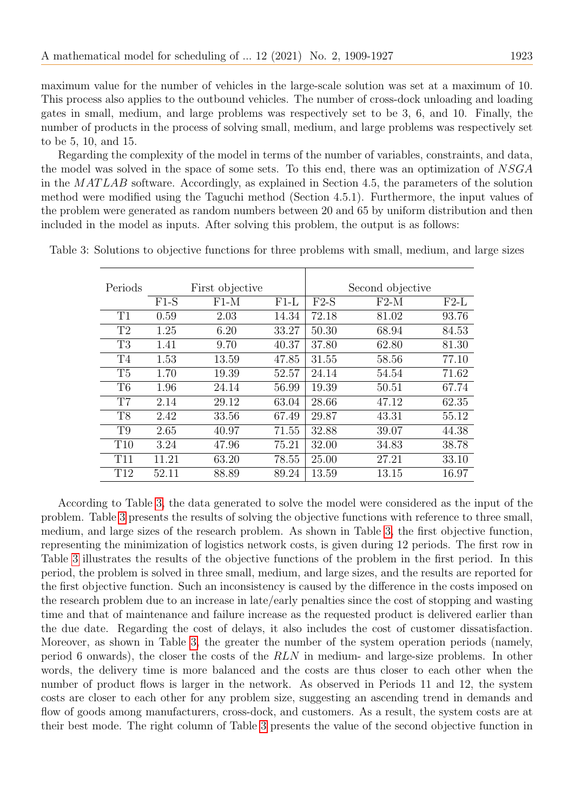maximum value for the number of vehicles in the large-scale solution was set at a maximum of 10. This process also applies to the outbound vehicles. The number of cross-dock unloading and loading gates in small, medium, and large problems was respectively set to be 3, 6, and 10. Finally, the number of products in the process of solving small, medium, and large problems was respectively set to be 5, 10, and 15.

Regarding the complexity of the model in terms of the number of variables, constraints, and data, the model was solved in the space of some sets. To this end, there was an optimization of NSGA in the MATLAB software. Accordingly, as explained in Section 4.5, the parameters of the solution method were modified using the Taguchi method (Section 4.5.1). Furthermore, the input values of the problem were generated as random numbers between 20 and 65 by uniform distribution and then included in the model as inputs. After solving this problem, the output is as follows:

| Periods         |        | First objective |        |        | Second objective |        |
|-----------------|--------|-----------------|--------|--------|------------------|--------|
|                 | $F1-S$ | $F1-M$          | $F1-L$ | $F2-S$ | $F2-M$           | $F2-L$ |
| T1              | 0.59   | 2.03            | 14.34  | 72.18  | 81.02            | 93.76  |
| T <sub>2</sub>  | 1.25   | 6.20            | 33.27  | 50.30  | 68.94            | 84.53  |
| T <sub>3</sub>  | 1.41   | 9.70            | 40.37  | 37.80  | 62.80            | 81.30  |
| T <sub>4</sub>  | 1.53   | 13.59           | 47.85  | 31.55  | 58.56            | 77.10  |
| T <sub>5</sub>  | 1.70   | 19.39           | 52.57  | 24.14  | 54.54            | 71.62  |
| T <sub>6</sub>  | 1.96   | 24.14           | 56.99  | 19.39  | 50.51            | 67.74  |
| T <sub>7</sub>  | 2.14   | 29.12           | 63.04  | 28.66  | 47.12            | 62.35  |
| T <sub>8</sub>  | 2.42   | 33.56           | 67.49  | 29.87  | 43.31            | 55.12  |
| T9              | 2.65   | 40.97           | 71.55  | 32.88  | 39.07            | 44.38  |
| T10             | 3.24   | 47.96           | 75.21  | 32.00  | 34.83            | 38.78  |
| <b>T11</b>      | 11.21  | 63.20           | 78.55  | 25.00  | 27.21            | 33.10  |
| T <sub>12</sub> | 52.11  | 88.89           | 89.24  | 13.59  | 13.15            | 16.97  |

<span id="page-14-0"></span>Table 3: Solutions to objective functions for three problems with small, medium, and large sizes

According to Table [3,](#page-14-0) the data generated to solve the model were considered as the input of the problem. Table [3](#page-14-0) presents the results of solving the objective functions with reference to three small, medium, and large sizes of the research problem. As shown in Table [3,](#page-14-0) the first objective function, representing the minimization of logistics network costs, is given during 12 periods. The first row in Table [3](#page-14-0) illustrates the results of the objective functions of the problem in the first period. In this period, the problem is solved in three small, medium, and large sizes, and the results are reported for the first objective function. Such an inconsistency is caused by the difference in the costs imposed on the research problem due to an increase in late/early penalties since the cost of stopping and wasting time and that of maintenance and failure increase as the requested product is delivered earlier than the due date. Regarding the cost of delays, it also includes the cost of customer dissatisfaction. Moreover, as shown in Table [3,](#page-14-0) the greater the number of the system operation periods (namely, period 6 onwards), the closer the costs of the RLN in medium- and large-size problems. In other words, the delivery time is more balanced and the costs are thus closer to each other when the number of product flows is larger in the network. As observed in Periods 11 and 12, the system costs are closer to each other for any problem size, suggesting an ascending trend in demands and flow of goods among manufacturers, cross-dock, and customers. As a result, the system costs are at their best mode. The right column of Table [3](#page-14-0) presents the value of the second objective function in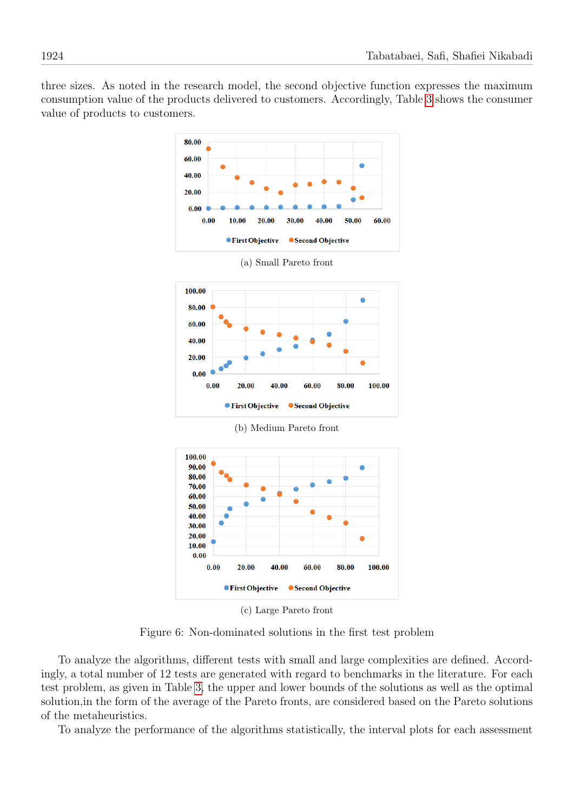<span id="page-15-0"></span>three sizes. As noted in the research model, the second objective function expresses the maximum consumption value of the products delivered to customers. Accordingly, Table [3](#page-14-0) shows the consumer value of products to customers.



(b) Medium Pareto front



(c) Large Pareto front

Figure 6: Non-dominated solutions in the first test problem

To analyze the algorithms, different tests with small and large complexities are defined. Accordingly, a total number of 12 tests are generated with regard to benchmarks in the literature. For each test problem, as given in Table [3,](#page-14-0) the upper and lower bounds of the solutions as well as the optimal solution,in the form of the average of the Pareto fronts, are considered based on the Pareto solutions of the metaheuristics.

To analyze the performance of the algorithms statistically, the interval plots for each assessment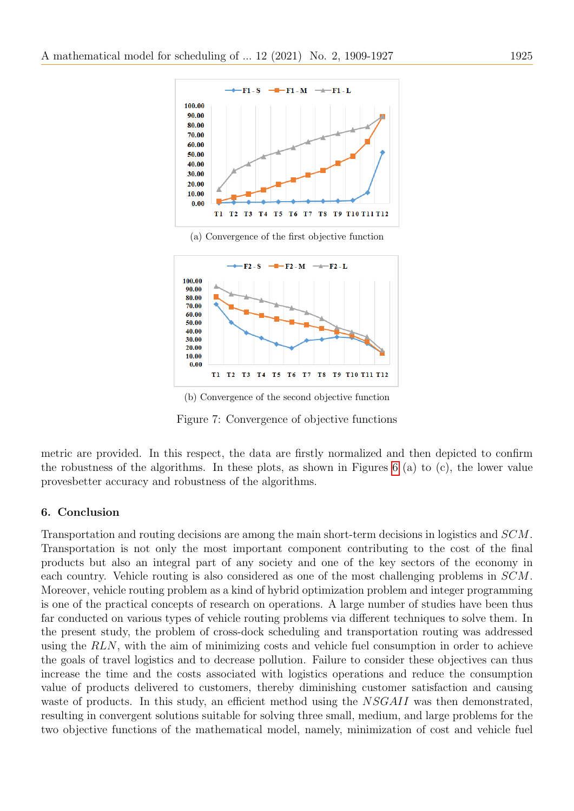

(a) Convergence of the first objective function



(b) Convergence of the second objective function

Figure 7: Convergence of objective functions

metric are provided. In this respect, the data are firstly normalized and then depicted to confirm the robustness of the algorithms. In these plots, as shown in Figures [6](#page-15-0) (a) to (c), the lower value provesbetter accuracy and robustness of the algorithms.

### 6. Conclusion

Transportation and routing decisions are among the main short-term decisions in logistics and SCM. Transportation is not only the most important component contributing to the cost of the final products but also an integral part of any society and one of the key sectors of the economy in each country. Vehicle routing is also considered as one of the most challenging problems in SCM. Moreover, vehicle routing problem as a kind of hybrid optimization problem and integer programming is one of the practical concepts of research on operations. A large number of studies have been thus far conducted on various types of vehicle routing problems via different techniques to solve them. In the present study, the problem of cross-dock scheduling and transportation routing was addressed using the RLN, with the aim of minimizing costs and vehicle fuel consumption in order to achieve the goals of travel logistics and to decrease pollution. Failure to consider these objectives can thus increase the time and the costs associated with logistics operations and reduce the consumption value of products delivered to customers, thereby diminishing customer satisfaction and causing waste of products. In this study, an efficient method using the NSGAII was then demonstrated, resulting in convergent solutions suitable for solving three small, medium, and large problems for the two objective functions of the mathematical model, namely, minimization of cost and vehicle fuel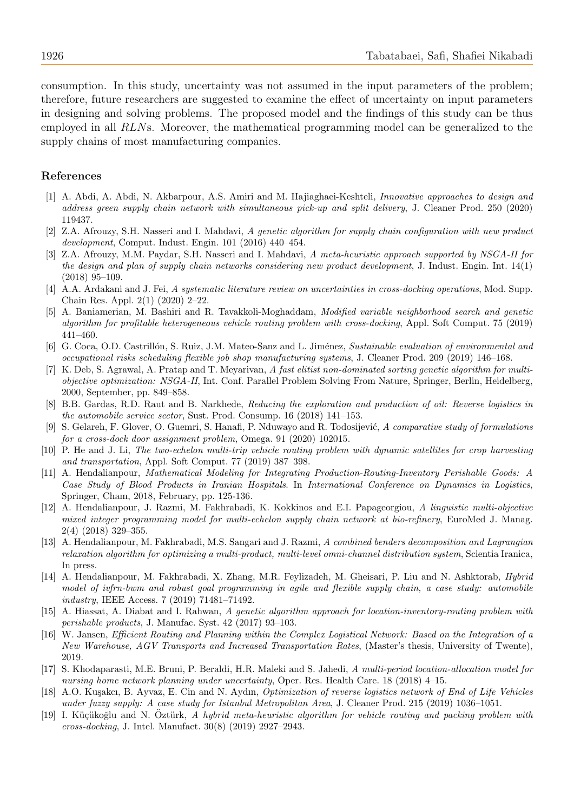consumption. In this study, uncertainty was not assumed in the input parameters of the problem; therefore, future researchers are suggested to examine the effect of uncertainty on input parameters in designing and solving problems. The proposed model and the findings of this study can be thus employed in all RLNs. Moreover, the mathematical programming model can be generalized to the supply chains of most manufacturing companies.

#### References

- <span id="page-17-15"></span>[1] A. Abdi, A. Abdi, N. Akbarpour, A.S. Amiri and M. Hajiaghaei-Keshteli, Innovative approaches to design and address green supply chain network with simultaneous pick-up and split delivery, J. Cleaner Prod. 250 (2020) 119437.
- <span id="page-17-13"></span>[2] Z.A. Afrouzy, S.H. Nasseri and I. Mahdavi, A genetic algorithm for supply chain configuration with new product development, Comput. Indust. Engin. 101 (2016) 440–454.
- <span id="page-17-12"></span>[3] Z.A. Afrouzy, M.M. Paydar, S.H. Nasseri and I. Mahdavi, A meta-heuristic approach supported by NSGA-II for the design and plan of supply chain networks considering new product development, J. Indust. Engin. Int. 14(1) (2018) 95–109.
- <span id="page-17-1"></span>[4] A.A. Ardakani and J. Fei, A systematic literature review on uncertainties in cross-docking operations, Mod. Supp. Chain Res. Appl. 2(1) (2020) 2–22.
- <span id="page-17-7"></span>[5] A. Baniamerian, M. Bashiri and R. Tavakkoli-Moghaddam, Modified variable neighborhood search and genetic algorithm for profitable heterogeneous vehicle routing problem with cross-docking, Appl. Soft Comput. 75 (2019) 441–460.
- <span id="page-17-16"></span>[6] G. Coca, O.D. Castrillón, S. Ruiz, J.M. Mateo-Sanz and L. Jiménez, Sustainable evaluation of environmental and occupational risks scheduling flexible job shop manufacturing systems, J. Cleaner Prod. 209 (2019) 146–168.
- <span id="page-17-14"></span>[7] K. Deb, S. Agrawal, A. Pratap and T. Meyarivan, A fast elitist non-dominated sorting genetic algorithm for multiobjective optimization: NSGA-II, Int. Conf. Parallel Problem Solving From Nature, Springer, Berlin, Heidelberg, 2000, September, pp. 849–858.
- <span id="page-17-10"></span>[8] B.B. Gardas, R.D. Raut and B. Narkhede, Reducing the exploration and production of oil: Reverse logistics in the automobile service sector, Sust. Prod. Consump. 16 (2018) 141–153.
- <span id="page-17-2"></span>[9] S. Gelareh, F. Glover, O. Guemri, S. Hanafi, P. Nduwayo and R. Todosijević, A comparative study of formulations for a cross-dock door assignment problem, Omega. 91 (2020) 102015.
- <span id="page-17-5"></span>[10] P. He and J. Li, The two-echelon multi-trip vehicle routing problem with dynamic satellites for crop harvesting and transportation, Appl. Soft Comput. 77 (2019) 387–398.
- <span id="page-17-0"></span>[11] A. Hendalianpour, Mathematical Modeling for Integrating Production-Routing-Inventory Perishable Goods: A Case Study of Blood Products in Iranian Hospitals. In International Conference on Dynamics in Logistics, Springer, Cham, 2018, February, pp. 125-136.
- <span id="page-17-17"></span>[12] A. Hendalianpour, J. Razmi, M. Fakhrabadi, K. Kokkinos and E.I. Papageorgiou, A linguistic multi-objective mixed integer programming model for multi-echelon supply chain network at bio-refinery, EuroMed J. Manag. 2(4) (2018) 329–355.
- [13] A. Hendalianpour, M. Fakhrabadi, M.S. Sangari and J. Razmi, A combined benders decomposition and Lagrangian relaxation algorithm for optimizing a multi-product, multi-level omni-channel distribution system, Scientia Iranica, In press.
- <span id="page-17-3"></span>[14] A. Hendalianpour, M. Fakhrabadi, X. Zhang, M.R. Feylizadeh, M. Gheisari, P. Liu and N. Ashktorab, Hybrid model of ivfrn-bwm and robust goal programming in agile and flexible supply chain, a case study: automobile industry, IEEE Access. 7 (2019) 71481–71492.
- <span id="page-17-8"></span>[15] A. Hiassat, A. Diabat and I. Rahwan, A genetic algorithm approach for location-inventory-routing problem with perishable products, J. Manufac. Syst. 42 (2017) 93–103.
- <span id="page-17-4"></span>[16] W. Jansen, Efficient Routing and Planning within the Complex Logistical Network: Based on the Integration of a New Warehouse, AGV Transports and Increased Transportation Rates, (Master's thesis, University of Twente), 2019.
- <span id="page-17-11"></span>[17] S. Khodaparasti, M.E. Bruni, P. Beraldi, H.R. Maleki and S. Jahedi, A multi-period location-allocation model for nursing home network planning under uncertainty, Oper. Res. Health Care. 18 (2018) 4–15.
- <span id="page-17-9"></span>A.O. Kusakcı, B. Ayvaz, E. Cin and N. Aydın, *Optimization of reverse logistics network of End of Life Vehicles* under fuzzy supply: A case study for Istanbul Metropolitan Area, J. Cleaner Prod. 215 (2019) 1036–1051.
- <span id="page-17-6"></span>[19] I. Küçükoğlu and N. Öztürk, A hybrid meta-heuristic algorithm for vehicle routing and packing problem with cross-docking, J. Intel. Manufact. 30(8) (2019) 2927–2943.